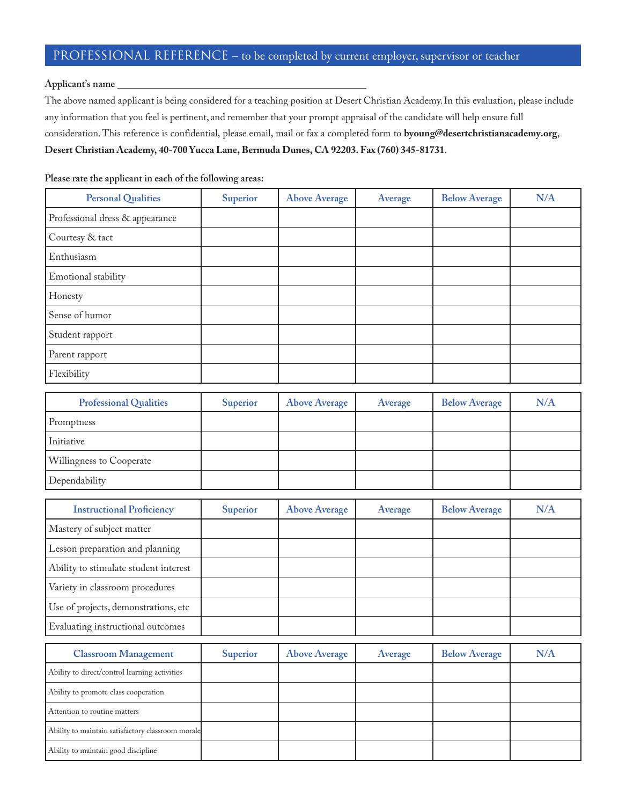## PROFESSIONAL REFERENCE – to be completed by current employer, supervisor or teacher

## **Applicant's name**

The above named applicant is being considered for a teaching position at Desert Christian Academy. In this evaluation, please include any information that you feel is pertinent, and remember that your prompt appraisal of the candidate will help ensure full consideration. This reference is confidential, please email, mail or fax a completed form to byoung@desertchristianacademy.org, Desert Christian Academy, 40-700 Yucca Lane, Bermuda Dunes, CA 92203. Fax (760) 345-81731.

**Please rate the applicant in each of the following areas:**

| <b>Personal Qualities</b>       | Superior | <b>Above Average</b> | Average | <b>Below Average</b> | N/A |
|---------------------------------|----------|----------------------|---------|----------------------|-----|
| Professional dress & appearance |          |                      |         |                      |     |
| Courtesy & tact                 |          |                      |         |                      |     |
| Enthusiasm                      |          |                      |         |                      |     |
| Emotional stability             |          |                      |         |                      |     |
| Honesty                         |          |                      |         |                      |     |
| Sense of humor                  |          |                      |         |                      |     |
| Student rapport                 |          |                      |         |                      |     |
| Parent rapport                  |          |                      |         |                      |     |
| Flexibility                     |          |                      |         |                      |     |

| <b>Professional Qualities</b>   | Superior | <b>Above Average</b> | Average | <b>Below Average</b> | N/A |
|---------------------------------|----------|----------------------|---------|----------------------|-----|
| Promptness                      |          |                      |         |                      |     |
| Initiative                      |          |                      |         |                      |     |
| <b>Willingness to Cooperate</b> |          |                      |         |                      |     |
| Dependability                   |          |                      |         |                      |     |

| <b>Instructional Proficiency</b>      | <b>Superior</b> | <b>Above Average</b> | Average | <b>Below Average</b> | N/A |
|---------------------------------------|-----------------|----------------------|---------|----------------------|-----|
| Mastery of subject matter             |                 |                      |         |                      |     |
| Lesson preparation and planning       |                 |                      |         |                      |     |
| Ability to stimulate student interest |                 |                      |         |                      |     |
| Variety in classroom procedures       |                 |                      |         |                      |     |
| Use of projects, demonstrations, etc  |                 |                      |         |                      |     |
| Evaluating instructional outcomes     |                 |                      |         |                      |     |

| <b>Classroom Management</b>                       | Superior | <b>Above Average</b> | Average | <b>Below Average</b> | N/A |
|---------------------------------------------------|----------|----------------------|---------|----------------------|-----|
| Ability to direct/control learning activities     |          |                      |         |                      |     |
| Ability to promote class cooperation              |          |                      |         |                      |     |
| Attention to routine matters                      |          |                      |         |                      |     |
| Ability to maintain satisfactory classroom morale |          |                      |         |                      |     |
| Ability to maintain good discipline               |          |                      |         |                      |     |